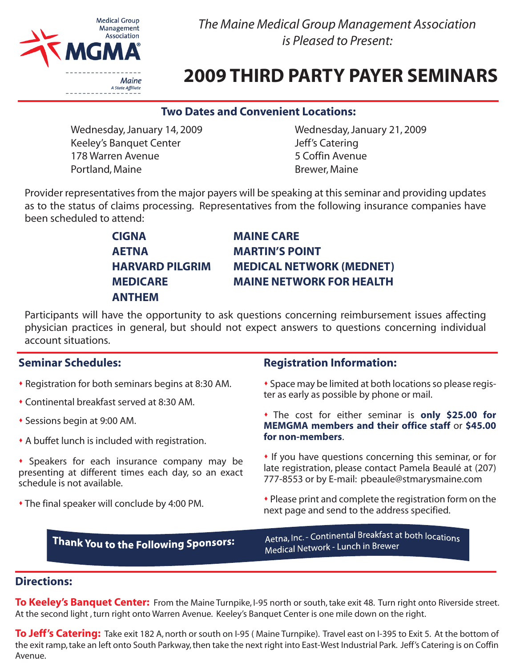

*The Maine Medical Group Management Association is Pleased to Present:*

# **2009 THIRD PARTY PAYER SEMINARS**

#### **Two Dates and Convenient Locations:**

Wednesday, January 14, 2009 Keeley's Banquet Center 178 Warren Avenue Portland, Maine

Wednesday, January 21, 2009 Jeff's Catering 5 Coffin Avenue Brewer, Maine

Provider representatives from the major payers will be speaking at this seminar and providing updates as to the status of claims processing. Representatives from the following insurance companies have been scheduled to attend:

| <b>CIGNA</b>           | <b>MAINE CARE</b>               |
|------------------------|---------------------------------|
| <b>AETNA</b>           | <b>MARTIN'S POINT</b>           |
| <b>HARVARD PILGRIM</b> | <b>MEDICAL NETWORK (MEDNET)</b> |
| <b>MEDICARE</b>        | <b>MAINE NETWORK FOR HEALTH</b> |
| <b>ANTHEM</b>          |                                 |

Participants will have the opportunity to ask questions concerning reimbursement issues affecting physician practices in general, but should not expect answers to questions concerning individual account situations.

### **Seminar Schedules:**

- Registration for both seminars begins at 8:30 AM.
- Continental breakfast served at 8:30 AM.
- Sessions begin at 9:00 AM.
- A buffet lunch is included with registration.
- Speakers for each insurance company may be presenting at different times each day, so an exact schedule is not available.
- The final speaker will conclude by 4:00 PM.

#### **Registration Information:**

- Space may be limited at both locations so please register as early as possible by phone or mail.
- The cost for either seminar is **only \$25.00 for MEMGMA members and their office staff** or **\$45.00 for non-members**.
- If you have questions concerning this seminar, or for late registration, please contact Pamela Beaulé at (207) 777-8553 or by E-mail: pbeaule@stmarysmaine.com
- Please print and complete the registration form on the next page and send to the address specified.

Thank You to the Following Sponsors:

Aetna, Inc. - Continental Breakfast at both locations Medical Network - Lunch in Brewer

### **Directions:**

**To Keeley's Banquet Center:** From the Maine Turnpike, I-95 north or south, take exit 48. Turn right onto Riverside street. At the second light , turn right onto Warren Avenue. Keeley's Banquet Center is one mile down on the right.

**To Jeff's Catering:** Take exit 182 A, north or south on I-95 ( Maine Turnpike). Travel east on I-395 to Exit 5. At the bottom of the exit ramp, take an left onto South Parkway, then take the next right into East-West Industrial Park. Jeff's Catering is on Coffin Avenue.